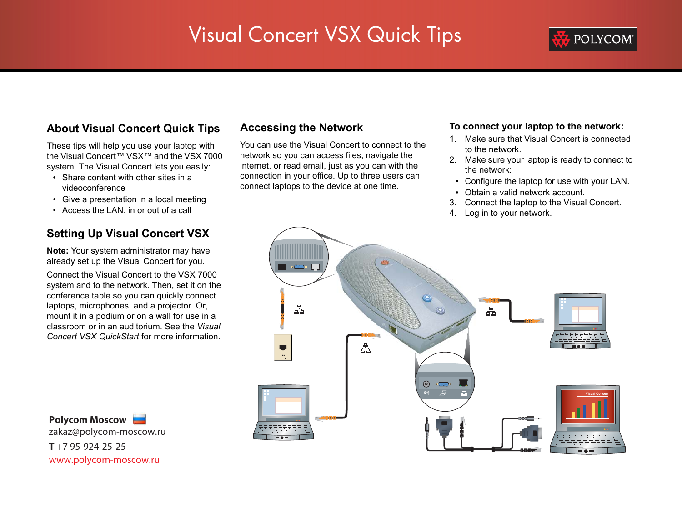# Visual Concert VSX Quick Tips



## **About Visual Concert Quick Tips**

These tips will help you use your laptop with the Visual Concert™ VSX™ and the VSX 7000 system. The Visual Concert lets you easily:

- Share content with other sites in a videoconference
- Give a presentation in a local meeting
- Access the LAN, in or out of a call

## **Setting Up Visual Concert VSX**

**Note:** Your system administrator may have already set up the Visual Concert for you.

Connect the Visual Concert to the VSX 7000 system and to the network. Then, set it on the conference table so you can quickly connect laptops, microphones, and a projector. Or, mount it in a podium or on a wall for use in a classroom or in an auditorium. See the *Visual Concert VSX QuickStart* for more information.

**Polycom Moscow** zakaz@polycom-moscow.ru  $T + 795 - 924 - 25 - 25$ www.polycom-moscow.ru

## **Accessing the Network**

You can use the Visual Concert to connect to the network so you can access files, navigate the internet, or read email, just as you can with the connection in your office. Up to three users can connect laptops to the device at one time.

#### **To connect your laptop to the network:**

- 1. Make sure that Visual Concert is connected to the network.
- 2. Make sure your laptop is ready to connect to the network:
- Configure the laptop for use with your LAN.
- Obtain a valid network account.
- 3. Connect the laptop to the Visual Concert.
- 4. Log in to your network.